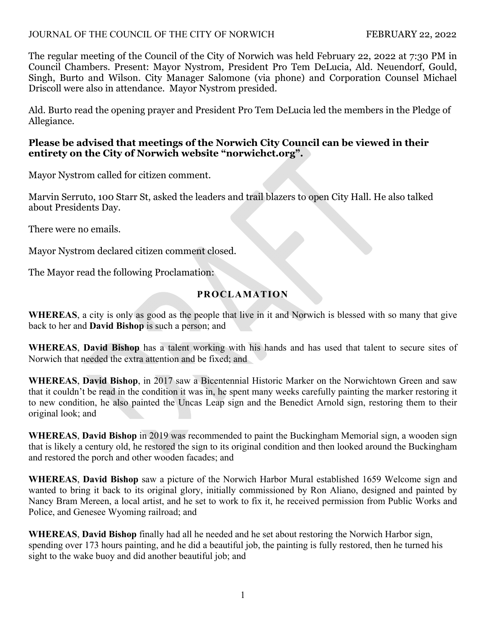## JOURNAL OF THE COUNCIL OF THE CITY OF NORWICH FEBRUARY 22, 2022

The regular meeting of the Council of the City of Norwich was held February 22, 2022 at 7:30 PM in Council Chambers. Present: Mayor Nystrom, President Pro Tem DeLucia, Ald. Neuendorf, Gould, Singh, Burto and Wilson. City Manager Salomone (via phone) and Corporation Counsel Michael Driscoll were also in attendance. Mayor Nystrom presided.

Ald. Burto read the opening prayer and President Pro Tem DeLucia led the members in the Pledge of Allegiance.

## **Please be advised that meetings of the Norwich City Council can be viewed in their entirety on the City of Norwich website "norwichct.org".**

Mayor Nystrom called for citizen comment.

Marvin Serruto, 100 Starr St, asked the leaders and trail blazers to open City Hall. He also talked about Presidents Day.

There were no emails.

Mayor Nystrom declared citizen comment closed.

The Mayor read the following Proclamation:

# **PROCLAMATION**

**WHEREAS**, a city is only as good as the people that live in it and Norwich is blessed with so many that give back to her and **David Bishop** is such a person; and

**WHEREAS**, **David Bishop** has a talent working with his hands and has used that talent to secure sites of Norwich that needed the extra attention and be fixed; and

**WHEREAS**, **David Bishop**, in 2017 saw a Bicentennial Historic Marker on the Norwichtown Green and saw that it couldn't be read in the condition it was in, he spent many weeks carefully painting the marker restoring it to new condition, he also painted the Uncas Leap sign and the Benedict Arnold sign, restoring them to their original look; and

**WHEREAS**, **David Bishop** in 2019 was recommended to paint the Buckingham Memorial sign, a wooden sign that is likely a century old, he restored the sign to its original condition and then looked around the Buckingham and restored the porch and other wooden facades; and

**WHEREAS**, **David Bishop** saw a picture of the Norwich Harbor Mural established 1659 Welcome sign and wanted to bring it back to its original glory, initially commissioned by Ron Aliano, designed and painted by Nancy Bram Mereen, a local artist, and he set to work to fix it, he received permission from Public Works and Police, and Genesee Wyoming railroad; and

**WHEREAS**, **David Bishop** finally had all he needed and he set about restoring the Norwich Harbor sign, spending over 173 hours painting, and he did a beautiful job, the painting is fully restored, then he turned his sight to the wake buoy and did another beautiful job; and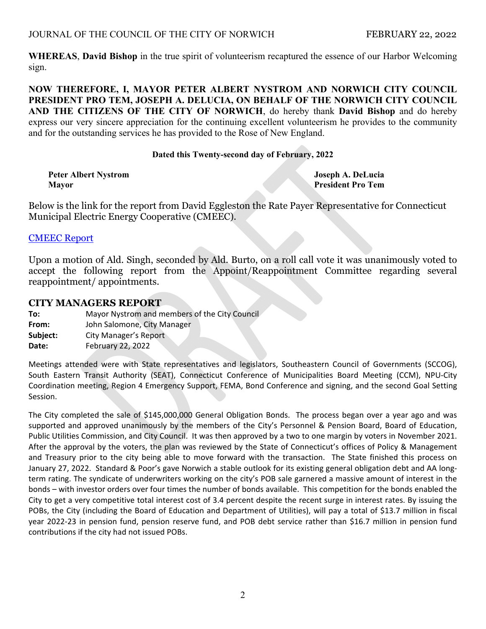**WHEREAS**, **David Bishop** in the true spirit of volunteerism recaptured the essence of our Harbor Welcoming sign.

**NOW THEREFORE, I, MAYOR PETER ALBERT NYSTROM AND NORWICH CITY COUNCIL PRESIDENT PRO TEM, JOSEPH A. DELUCIA, ON BEHALF OF THE NORWICH CITY COUNCIL AND THE CITIZENS OF THE CITY OF NORWICH**, do hereby thank **David Bishop** and do hereby express our very sincere appreciation for the continuing excellent volunteerism he provides to the community and for the outstanding services he has provided to the Rose of New England.

#### **Dated this Twenty-second day of February, 2022**

|       | Peter Albert Nystrom |
|-------|----------------------|
| Mavor |                      |

**Joseph A. DeLucia President Pro Tem** 

Below is the link for the report from David Eggleston the Rate Payer Representative for Connecticut Municipal Electric Energy Cooperative (CMEEC).

#### [CMEEC Report](https://www.norwichct.org/DocumentCenter/View/8059/Ratepayer-Representative-Report-to-the-City-Council-February-2022)

Upon a motion of Ald. Singh, seconded by Ald. Burto, on a roll call vote it was unanimously voted to accept the following report from the Appoint/Reappointment Committee regarding several reappointment/ appointments.

#### **CITY MANAGERS REPORT**

**To:** Mayor Nystrom and members of the City Council

**From:**  John Salomone, City Manager

**Subject:** City Manager's Report

**Date:** February 22, 2022

Meetings attended were with State representatives and legislators, Southeastern Council of Governments (SCCOG), South Eastern Transit Authority (SEAT), Connecticut Conference of Municipalities Board Meeting (CCM), NPU‐City Coordination meeting, Region 4 Emergency Support, FEMA, Bond Conference and signing, and the second Goal Setting Session.

The City completed the sale of \$145,000,000 General Obligation Bonds. The process began over a year ago and was supported and approved unanimously by the members of the City's Personnel & Pension Board, Board of Education, Public Utilities Commission, and City Council. It was then approved by a two to one margin by voters in November 2021. After the approval by the voters, the plan was reviewed by the State of Connecticut's offices of Policy & Management and Treasury prior to the city being able to move forward with the transaction. The State finished this process on January 27, 2022. Standard & Poor's gave Norwich a stable outlook for its existing general obligation debt and AA long‐ term rating. The syndicate of underwriters working on the city's POB sale garnered a massive amount of interest in the bonds – with investor orders over four times the number of bonds available. This competition for the bonds enabled the City to get a very competitive total interest cost of 3.4 percent despite the recent surge in interest rates. By issuing the POBs, the City (including the Board of Education and Department of Utilities), will pay a total of \$13.7 million in fiscal year 2022‐23 in pension fund, pension reserve fund, and POB debt service rather than \$16.7 million in pension fund contributions if the city had not issued POBs.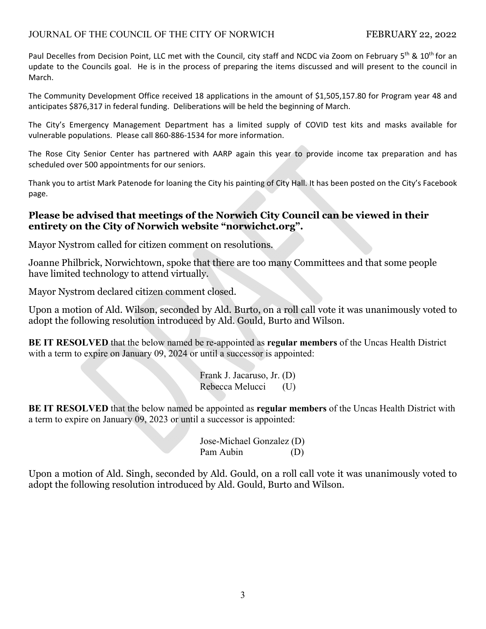## JOURNAL OF THE COUNCIL OF THE CITY OF NORWICH FEBRUARY 22, 2022

Paul Decelles from Decision Point, LLC met with the Council, city staff and NCDC via Zoom on February 5<sup>th</sup> & 10<sup>th</sup> for an update to the Councils goal. He is in the process of preparing the items discussed and will present to the council in March.

The Community Development Office received 18 applications in the amount of \$1,505,157.80 for Program year 48 and anticipates \$876,317 in federal funding. Deliberations will be held the beginning of March.

The City's Emergency Management Department has a limited supply of COVID test kits and masks available for vulnerable populations. Please call 860‐886‐1534 for more information.

The Rose City Senior Center has partnered with AARP again this year to provide income tax preparation and has scheduled over 500 appointments for our seniors.

Thank you to artist Mark Patenode for loaning the City his painting of City Hall. It has been posted on the City's Facebook page.

## **Please be advised that meetings of the Norwich City Council can be viewed in their entirety on the City of Norwich website "norwichct.org".**

Mayor Nystrom called for citizen comment on resolutions.

Joanne Philbrick, Norwichtown, spoke that there are too many Committees and that some people have limited technology to attend virtually.

Mayor Nystrom declared citizen comment closed.

Upon a motion of Ald. Wilson, seconded by Ald. Burto, on a roll call vote it was unanimously voted to adopt the following resolution introduced by Ald. Gould, Burto and Wilson.

**BE IT RESOLVED** that the below named be re-appointed as **regular members** of the Uncas Health District with a term to expire on January 09, 2024 or until a successor is appointed:

> Frank J. Jacaruso, Jr. (D) Rebecca Melucci (U)

**BE IT RESOLVED** that the below named be appointed as **regular members** of the Uncas Health District with a term to expire on January 09, 2023 or until a successor is appointed:

> Jose-Michael Gonzalez (D) Pam Aubin (D)

Upon a motion of Ald. Singh, seconded by Ald. Gould, on a roll call vote it was unanimously voted to adopt the following resolution introduced by Ald. Gould, Burto and Wilson.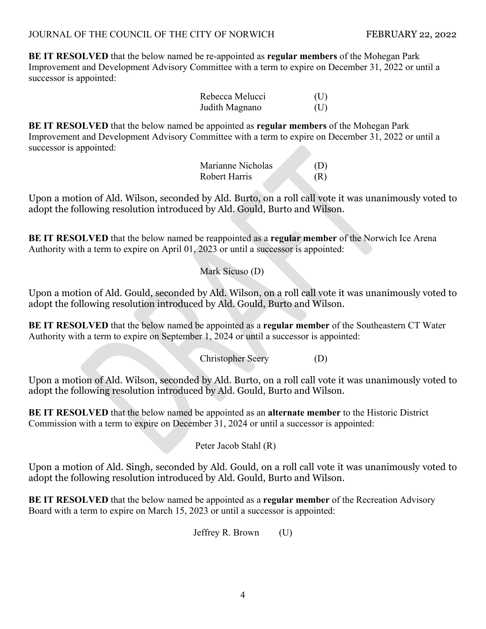**BE IT RESOLVED** that the below named be re-appointed as **regular members** of the Mohegan Park Improvement and Development Advisory Committee with a term to expire on December 31, 2022 or until a successor is appointed:

| Rebecca Melucci | (U) |
|-----------------|-----|
| Judith Magnano  | (U) |

**BE IT RESOLVED** that the below named be appointed as **regular members** of the Mohegan Park Improvement and Development Advisory Committee with a term to expire on December 31, 2022 or until a successor is appointed:

> Marianne Nicholas (D) Robert Harris (R)

Upon a motion of Ald. Wilson, seconded by Ald. Burto, on a roll call vote it was unanimously voted to adopt the following resolution introduced by Ald. Gould, Burto and Wilson.

**BE IT RESOLVED** that the below named be reappointed as a **regular member** of the Norwich Ice Arena Authority with a term to expire on April 01, 2023 or until a successor is appointed:

Mark Sicuso (D)

Upon a motion of Ald. Gould, seconded by Ald. Wilson, on a roll call vote it was unanimously voted to adopt the following resolution introduced by Ald. Gould, Burto and Wilson.

**BE IT RESOLVED** that the below named be appointed as a **regular member** of the Southeastern CT Water Authority with a term to expire on September 1, 2024 or until a successor is appointed:

Christopher Seery (D)

Upon a motion of Ald. Wilson, seconded by Ald. Burto, on a roll call vote it was unanimously voted to adopt the following resolution introduced by Ald. Gould, Burto and Wilson.

**BE IT RESOLVED** that the below named be appointed as an **alternate member** to the Historic District Commission with a term to expire on December 31, 2024 or until a successor is appointed:

Peter Jacob Stahl (R)

Upon a motion of Ald. Singh, seconded by Ald. Gould, on a roll call vote it was unanimously voted to adopt the following resolution introduced by Ald. Gould, Burto and Wilson.

**BE IT RESOLVED** that the below named be appointed as a **regular member** of the Recreation Advisory Board with a term to expire on March 15, 2023 or until a successor is appointed:

Jeffrey R. Brown (U)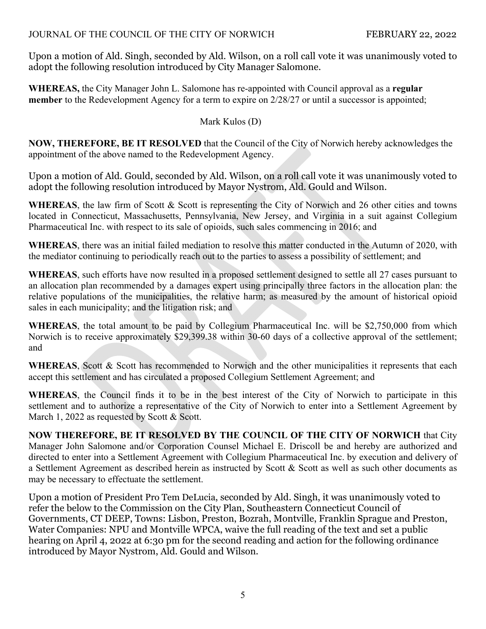Upon a motion of Ald. Singh, seconded by Ald. Wilson, on a roll call vote it was unanimously voted to adopt the following resolution introduced by City Manager Salomone.

**WHEREAS,** the City Manager John L. Salomone has re-appointed with Council approval as a **regular member** to the Redevelopment Agency for a term to expire on 2/28/27 or until a successor is appointed;

# Mark Kulos (D)

**NOW, THEREFORE, BE IT RESOLVED** that the Council of the City of Norwich hereby acknowledges the appointment of the above named to the Redevelopment Agency.

Upon a motion of Ald. Gould, seconded by Ald. Wilson, on a roll call vote it was unanimously voted to adopt the following resolution introduced by Mayor Nystrom, Ald. Gould and Wilson.

WHEREAS, the law firm of Scott & Scott is representing the City of Norwich and 26 other cities and towns located in Connecticut, Massachusetts, Pennsylvania, New Jersey, and Virginia in a suit against Collegium Pharmaceutical Inc. with respect to its sale of opioids, such sales commencing in 2016; and

**WHEREAS**, there was an initial failed mediation to resolve this matter conducted in the Autumn of 2020, with the mediator continuing to periodically reach out to the parties to assess a possibility of settlement; and

**WHEREAS**, such efforts have now resulted in a proposed settlement designed to settle all 27 cases pursuant to an allocation plan recommended by a damages expert using principally three factors in the allocation plan: the relative populations of the municipalities, the relative harm; as measured by the amount of historical opioid sales in each municipality; and the litigation risk; and

**WHEREAS**, the total amount to be paid by Collegium Pharmaceutical Inc. will be \$2,750,000 from which Norwich is to receive approximately \$29,399.38 within 30-60 days of a collective approval of the settlement; and

WHEREAS, Scott & Scott has recommended to Norwich and the other municipalities it represents that each accept this settlement and has circulated a proposed Collegium Settlement Agreement; and

**WHEREAS**, the Council finds it to be in the best interest of the City of Norwich to participate in this settlement and to authorize a representative of the City of Norwich to enter into a Settlement Agreement by March 1, 2022 as requested by Scott & Scott.

**NOW THEREFORE, BE IT RESOLVED BY THE COUNCIL OF THE CITY OF NORWICH** that City Manager John Salomone and/or Corporation Counsel Michael E. Driscoll be and hereby are authorized and directed to enter into a Settlement Agreement with Collegium Pharmaceutical Inc. by execution and delivery of a Settlement Agreement as described herein as instructed by Scott & Scott as well as such other documents as may be necessary to effectuate the settlement.

Upon a motion of President Pro Tem DeLucia, seconded by Ald. Singh, it was unanimously voted to refer the below to the Commission on the City Plan, Southeastern Connecticut Council of Governments, CT DEEP, Towns: Lisbon, Preston, Bozrah, Montville, Franklin Sprague and Preston, Water Companies: NPU and Montville WPCA, waive the full reading of the text and set a public hearing on April 4, 2022 at 6:30 pm for the second reading and action for the following ordinance introduced by Mayor Nystrom, Ald. Gould and Wilson.